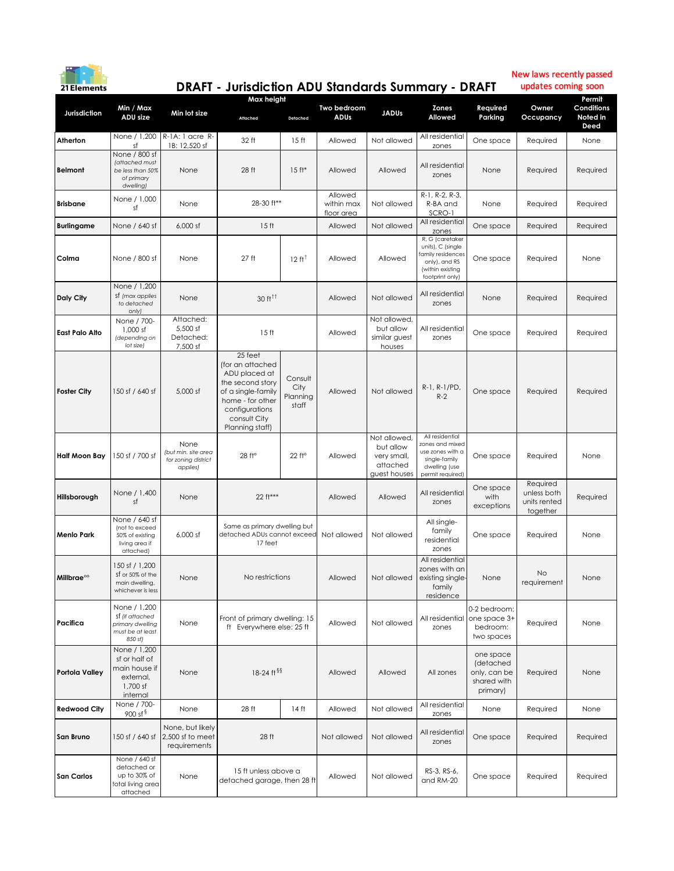

## **DRAFT - Jurisdiction ADU Standards Summary - DRAFT**

New laws recently passed updates coming soon

| <b>Jurisdiction</b>    | Min / Max<br>ADU size                                                               |                                                                | Max height                                                                                                                                                      |                                      |                                     |                                                                      |                                                                                                                  |                                                                        |                                                     | Permit                         |
|------------------------|-------------------------------------------------------------------------------------|----------------------------------------------------------------|-----------------------------------------------------------------------------------------------------------------------------------------------------------------|--------------------------------------|-------------------------------------|----------------------------------------------------------------------|------------------------------------------------------------------------------------------------------------------|------------------------------------------------------------------------|-----------------------------------------------------|--------------------------------|
|                        |                                                                                     | Min lot size                                                   | Attached                                                                                                                                                        | Detached                             | Two bedroom<br>ADUs                 | <b>JADUs</b>                                                         | Zones<br>Allowed                                                                                                 | Required<br>Parking                                                    | Owner<br>Occupancy                                  | Conditions<br>Noted in<br>Deed |
| Atherton               | None / 1,200<br>sf                                                                  | $R$ -1A: 1 acre $R$ -<br>1B: 12,520 sf                         | 32 ft                                                                                                                                                           | 15 <sub>ft</sub>                     | Allowed                             | Not allowed                                                          | All residential<br>zones                                                                                         | One space                                                              | Required                                            | None                           |
| <b>Belmont</b>         | None / 800 sf<br>(attached must<br>be less than 50%<br>of primary<br>dwelling)      | None                                                           | 28 ft                                                                                                                                                           | $15$ ft*                             | Allowed                             | Allowed                                                              | All residential<br>zones                                                                                         | None                                                                   | Required                                            | Required                       |
| <b>Brisbane</b>        | None / 1,000<br>sf                                                                  | None                                                           | 28-30 ft**                                                                                                                                                      |                                      | Allowed<br>within max<br>floor area | Not allowed                                                          | R-1, R-2, R-3,<br>R-BA and<br>SCRO-1                                                                             | None                                                                   | Required                                            | Required                       |
| <b>Burlingame</b>      | None / 640 sf                                                                       | 6.000 sf                                                       | 15 <sub>ft</sub>                                                                                                                                                |                                      | Allowed                             | Not allowed                                                          | All residential<br>zones                                                                                         | One space                                                              | Required                                            | Required                       |
| Colma                  | None / 800 sf                                                                       | None                                                           | 27 <sub>ft</sub>                                                                                                                                                | $12 \text{ ft}^+$                    | Allowed                             | Allowed                                                              | R, G (caretaker<br>units), C (single<br>amily residences<br>only), and RS<br>(within existing<br>footprint only) | One space                                                              | Required                                            | None                           |
| Daly City              | None / 1,200<br>sf (max applies<br>to detached<br>only)                             | None                                                           | $30 f t^{\dagger}$                                                                                                                                              |                                      | Allowed                             | Not allowed                                                          | All residential<br>zones                                                                                         | None                                                                   | Required                                            | Required                       |
| <b>East Palo Alto</b>  | None / 700-<br>1,000 sf<br>(depending on<br>lot size)                               | Attached:<br>5,500 sf<br>Detached:<br>7,500 sf                 | 15 <sub>ft</sub>                                                                                                                                                |                                      | Allowed                             | Not allowed,<br>but allow<br>similar guest<br>houses                 | All residential<br>zones                                                                                         | One space                                                              | Required                                            | Required                       |
| <b>Foster City</b>     | 150 sf / 640 sf                                                                     | 5,000 sf                                                       | 25 feet<br>(for an attached<br>ADU placed at<br>the second story<br>of a single-family<br>home - for other<br>configurations<br>consult City<br>Planning staff) | Consult<br>City<br>Planning<br>staff | Allowed                             | Not allowed                                                          | R-1, R-1/PD,<br>$R-2$                                                                                            | One space                                                              | Required                                            | Required                       |
| Half Moon Bay          | 150 sf / 700 sf                                                                     | None<br>(but min. site area<br>for zoning district<br>applies) | 28 ft <sup>o</sup>                                                                                                                                              | 22 ft°                               | Allowed                             | Not allowed,<br>but allow<br>very small,<br>attached<br>guest houses | All residential<br>zones and mixed<br>use zones with a<br>single-family<br>dwelling (use<br>permit required)     | One space                                                              | Required                                            | None                           |
| Hillsborough           | None / 1,400<br>sf                                                                  | None                                                           | 22 ft***                                                                                                                                                        |                                      | Allowed                             | Allowed                                                              | All residential<br>zones                                                                                         | One space<br>with<br>exceptions                                        | Required<br>unless both<br>units rented<br>together | Required                       |
| Menlo Park             | None / 640 sf<br>Inot to exceed<br>50% of existing<br>living area if<br>attached)   | 6,000 sf                                                       | Same as primary dwelling but<br>detached ADUs cannot exceed<br>17 feet                                                                                          |                                      | Not allowed                         | Not allowed                                                          | All single-<br>family<br>residential<br>zones                                                                    | One space                                                              | Required                                            | None                           |
| Millbrae <sup>oo</sup> | 150 sf / 1,200<br>sf or 50% of the<br>main dwelling,<br>whichever is less           | None                                                           | No restrictions                                                                                                                                                 |                                      | Allowed                             | Not allowed                                                          | All residential<br>zones with an<br>existing single-<br><b>Tamily</b><br>residence                               | None                                                                   | No<br>requirement                                   | None                           |
| Pacifica               | None / 1,200<br>St (if attached<br>primary dwelling<br>must be at least<br>850 sf)  | None                                                           | Front of primary dwelling: 15<br>ft Everywhere else: 25 ft                                                                                                      |                                      | Allowed                             | Not allowed                                                          | zones                                                                                                            | 0-2 bedroom:<br>All residential one space 3+<br>bedroom:<br>two spaces | Required                                            | None                           |
| <b>Portola Valley</b>  | None / 1,200<br>sf or half of<br>main house if<br>external,<br>1,700 sf<br>internal | None                                                           | 18-24 ft §§                                                                                                                                                     |                                      | Allowed                             | Allowed                                                              | All zones                                                                                                        | one space<br>(detached<br>only, can be<br>shared with<br>primary)      | Required                                            | None                           |
| <b>Redwood City</b>    | None / 700-<br>900 sf $\frac{8}{3}$                                                 | None                                                           | 28 ft                                                                                                                                                           | 14 <sub>ft</sub>                     | Allowed                             | Not allowed                                                          | All residential<br>zones                                                                                         | None                                                                   | Required                                            | None                           |
| San Bruno              | 150 sf / 640 sf                                                                     | None, but likely<br>2,500 sf to meet<br>requirements           | 28 ft                                                                                                                                                           |                                      | Not allowed                         | Not allowed                                                          | All residential<br>zones                                                                                         | One space                                                              | Required                                            | Required                       |
| San Carlos             | None / 640 sf<br>detached or<br>up to 30% of<br>total living area<br>attached       | None                                                           | 15 ft unless above a<br>detached garage, then 28 ft                                                                                                             |                                      | Allowed                             | Not allowed                                                          | RS-3, RS-6,<br>and RM-20                                                                                         | One space                                                              | Required                                            | Required                       |